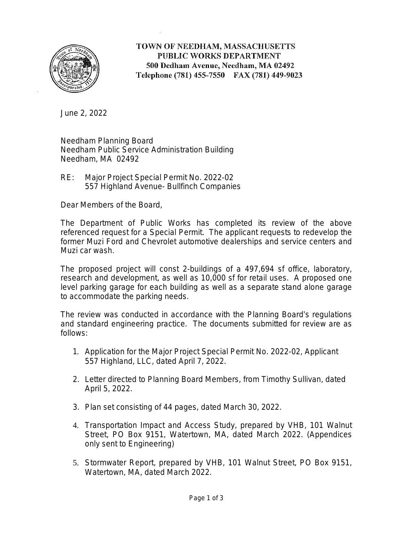

# TOWN OF NEEDHAM, MASSACHUSETTS PUBLIC WORKS DEPARTMENT 500 Dedham Avenue, Needham, MA 02492 Telephone (781) 455-7550 FAX (781) 449-9023

June 2, 2022

Needham Planning Board Needham Public Service Administration Building Needham, MA 02492

RE: Major Project Special Permit No. 2022-02 557 Highland Avenue- Bullfinch Companies

Dear Members of the Board,

The Department of Public Works has completed its review of the above referenced request for a Special Permit. The applicant requests to redevelop the former Muzi Ford and Chevrolet automotive dealerships and service centers and Muzi car wash.

The proposed project will const 2-buildings of a 497,694 sf office, laboratory, research and development, as well as 10,000 sf for retail uses. A proposed one level parking garage for each building as well as a separate stand alone garage to accommodate the parking needs.

The review was conducted in accordance with the Planning Board's regulations and standard engineering practice. The documents submitted for review are as follows:

- 1. Application for the Major Project Special Permit No. 2022-02, Applicant 557 Highland, LLC, dated April 7, 2022.
- 2. Letter directed to Planning Board Members, from Timothy Sullivan, dated April 5, 2022.
- 3. Plan set consisting of 44 pages, dated March 30, 2022.
- 4. Transportation Impact and Access Study, prepared by VHB, 101 Walnut Street, PO Box 9151, Watertown, MA, dated March 2022. (Appendices only sent to Engineering)
- 5. Stormwater Report, prepared by VHB, 101 Walnut Street, PO Box 9151, Watertown, MA, dated March 2022.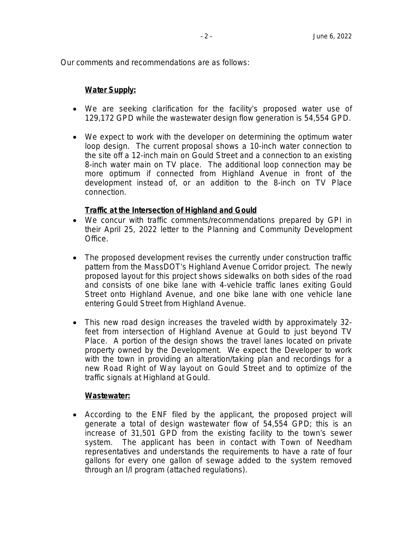Our comments and recommendations are as follows:

## **Water Supply:**

- We are seeking clarification for the facility's proposed water use of 129,172 GPD while the wastewater design flow generation is 54,554 GPD.
- We expect to work with the developer on determining the optimum water loop design. The current proposal shows a 10-inch water connection to the site off a 12-inch main on Gould Street and a connection to an existing 8-inch water main on TV place. The additional loop connection may be more optimum if connected from Highland Avenue in front of the development instead of, or an addition to the 8-inch on TV Place connection.

## **Traffic at the Intersection of Highland and Gould**

- We concur with traffic comments/recommendations prepared by GPI in their April 25, 2022 letter to the Planning and Community Development Office.
- The proposed development revises the currently under construction traffic pattern from the MassDOT's Highland Avenue Corridor project. The newly proposed layout for this project shows sidewalks on both sides of the road and consists of one bike lane with 4-vehicle traffic lanes exiting Gould Street onto Highland Avenue, and one bike lane with one vehicle lane entering Gould Street from Highland Avenue.
- This new road design increases the traveled width by approximately 32 feet from intersection of Highland Avenue at Gould to just beyond TV Place. A portion of the design shows the travel lanes located on private property owned by the Development. We expect the Developer to work with the town in providing an alteration/taking plan and recordings for a new Road Right of Way layout on Gould Street and to optimize of the traffic signals at Highland at Gould.

## **Wastewater:**

 According to the ENF filed by the applicant, the proposed project will generate a total of design wastewater flow of 54,554 GPD; this is an increase of 31,501 GPD from the existing facility to the town's sewer system. The applicant has been in contact with Town of Needham representatives and understands the requirements to have a rate of four gallons for every one gallon of sewage added to the system removed through an I/I program (attached regulations).